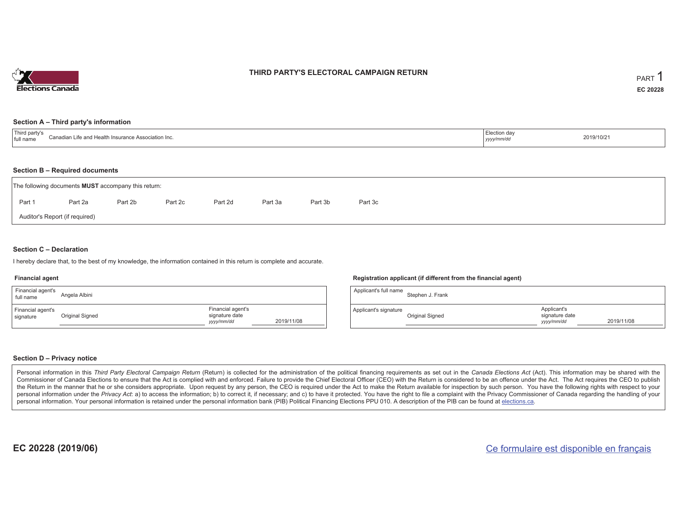

### **THIRD PARTY'S ELECTORAL CAMPAIGN RETURN**

#### **Section A – Third party's information**

| $-1$<br>l partv's<br>``.anadi⊱<br>nce Association Inc.<br>.n Life and Health<br>I full name | :lection da<br>yyyy/mm/d <sup>,</sup> | 2019/10/2 |
|---------------------------------------------------------------------------------------------|---------------------------------------|-----------|
|---------------------------------------------------------------------------------------------|---------------------------------------|-----------|

#### **Section B – Required documents**

|        | The following documents <b>MUST</b> accompany this return: |         |         |         |         |         |         |
|--------|------------------------------------------------------------|---------|---------|---------|---------|---------|---------|
| Part 1 | Part 2a                                                    | Part 2b | Part 2c | Part 2d | Part 3a | Part 3b | Part 3c |
|        | Auditor's Report (if required)                             |         |         |         |         |         |         |

### **Section C – Declaration**

I hereby declare that, to the best of my knowledge, the information contained in this return is complete and accurate.

#### **Financial agent**

| Financial agent's<br>full name | Angela Albini   |                                                   |            |
|--------------------------------|-----------------|---------------------------------------------------|------------|
| Financial agent's<br>signature | Original Signed | Financial agent's<br>signature date<br>yyyy/mm/dd | 2019/11/08 |

#### **Registration applicant (if different from the financial agent)**

| Applicant's full name | Stephen J. Frank |                                             |            |
|-----------------------|------------------|---------------------------------------------|------------|
| Applicant's signature | Original Signed  | Applicant's<br>signature date<br>yyyy/mm/dd | 2019/11/08 |

#### **Section D – Privacy notice**

Personal information in this Third Party Electoral Campaign Return (Return) is collected for the administration of the political financing requirements as set out in the Canada Elections Act (Act). This information may be Commissioner of Canada Elections to ensure that the Act is complied with and enforced. Failure to provide the Chief Electoral Officer (CEO) with the Return is considered to be an offence under the Act. The Act requires the the Return in the manner that he or she considers appropriate. Upon request by any person, the CEO is required under the Act to make the Return available for inspection by such person. You have the following rights with re personal information under the Privacy Act: a) to access the information; b) to correct it, if necessary; and c) to have it protected. You have the right to file a complaint with the Privacy Commissioner of Canada regardin personal information. Your personal information is retained under the personal information bank (PIB) Political Financing Elections PPU 010. A description of the PIB can be found at elections.ca.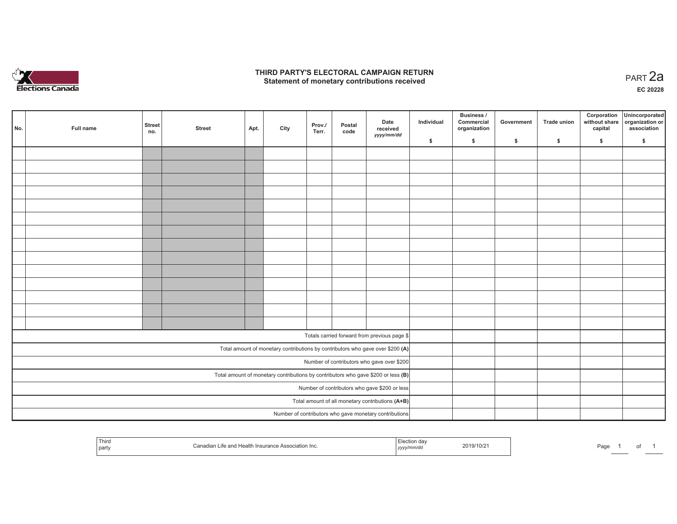

### **THIRD PARTY'S ELECTORAL CAMPAIGN RETURN HIRD PARTY'S ELECTORAL CAMPAIGN RETURN<br>Statement of monetary contributions received PART 2a**

**EC 20228**

| No. |                                               | Full name                                                                           | <b>Street</b><br>no. | <b>Street</b> | Apt. | City | Prov./<br>Terr. | Postal<br>code | Date<br>received<br>yyyy/mm/dd                         | Individual | <b>Business /</b><br>Commercial<br>organization | Government | <b>Trade union</b> | Corporation<br>capital | Unincorporated<br>without share organization or<br>association |  |  |  |
|-----|-----------------------------------------------|-------------------------------------------------------------------------------------|----------------------|---------------|------|------|-----------------|----------------|--------------------------------------------------------|------------|-------------------------------------------------|------------|--------------------|------------------------|----------------------------------------------------------------|--|--|--|
|     |                                               |                                                                                     |                      |               |      |      |                 |                |                                                        | \$         | \$                                              | \$         | \$                 | \$                     | \$                                                             |  |  |  |
|     |                                               |                                                                                     |                      |               |      |      |                 |                |                                                        |            |                                                 |            |                    |                        |                                                                |  |  |  |
|     |                                               |                                                                                     |                      |               |      |      |                 |                |                                                        |            |                                                 |            |                    |                        |                                                                |  |  |  |
|     |                                               |                                                                                     |                      |               |      |      |                 |                |                                                        |            |                                                 |            |                    |                        |                                                                |  |  |  |
|     |                                               |                                                                                     |                      |               |      |      |                 |                |                                                        |            |                                                 |            |                    |                        |                                                                |  |  |  |
|     |                                               |                                                                                     |                      |               |      |      |                 |                |                                                        |            |                                                 |            |                    |                        |                                                                |  |  |  |
|     |                                               |                                                                                     |                      |               |      |      |                 |                |                                                        |            |                                                 |            |                    |                        |                                                                |  |  |  |
|     |                                               |                                                                                     |                      |               |      |      |                 |                |                                                        |            |                                                 |            |                    |                        |                                                                |  |  |  |
|     |                                               |                                                                                     |                      |               |      |      |                 |                |                                                        |            |                                                 |            |                    |                        |                                                                |  |  |  |
|     |                                               |                                                                                     |                      |               |      |      |                 |                |                                                        |            |                                                 |            |                    |                        |                                                                |  |  |  |
|     |                                               |                                                                                     |                      |               |      |      |                 |                |                                                        |            |                                                 |            |                    |                        |                                                                |  |  |  |
|     |                                               |                                                                                     |                      |               |      |      |                 |                |                                                        |            |                                                 |            |                    |                        |                                                                |  |  |  |
|     |                                               |                                                                                     |                      |               |      |      |                 |                |                                                        |            |                                                 |            |                    |                        |                                                                |  |  |  |
|     |                                               |                                                                                     |                      |               |      |      |                 |                |                                                        |            |                                                 |            |                    |                        |                                                                |  |  |  |
|     |                                               |                                                                                     |                      |               |      |      |                 |                |                                                        |            |                                                 |            |                    |                        |                                                                |  |  |  |
|     |                                               |                                                                                     |                      |               |      |      |                 |                |                                                        |            |                                                 |            |                    |                        |                                                                |  |  |  |
|     |                                               |                                                                                     |                      |               |      |      |                 |                | Totals carried forward from previous page \$           |            |                                                 |            |                    |                        |                                                                |  |  |  |
|     |                                               | Total amount of monetary contributions by contributors who gave over \$200 (A)      |                      |               |      |      |                 |                |                                                        |            |                                                 |            |                    |                        |                                                                |  |  |  |
|     | Number of contributors who gave over \$200    |                                                                                     |                      |               |      |      |                 |                |                                                        |            |                                                 |            |                    |                        |                                                                |  |  |  |
|     |                                               | Total amount of monetary contributions by contributors who gave \$200 or less $(B)$ |                      |               |      |      |                 |                |                                                        |            |                                                 |            |                    |                        |                                                                |  |  |  |
|     | Number of contributors who gave \$200 or less |                                                                                     |                      |               |      |      |                 |                |                                                        |            |                                                 |            |                    |                        |                                                                |  |  |  |
|     |                                               |                                                                                     |                      |               |      |      |                 |                | Total amount of all monetary contributions (A+B)       |            |                                                 |            |                    |                        |                                                                |  |  |  |
|     |                                               |                                                                                     |                      |               |      |      |                 |                |                                                        |            |                                                 |            |                    |                        |                                                                |  |  |  |
|     |                                               |                                                                                     |                      |               |      |      |                 |                | Number of contributors who gave monetary contributions |            |                                                 |            |                    |                        |                                                                |  |  |  |

| Third<br>Чеяь.<br>iation Inc<br>: and<br>suranci<br>part<br>  <i>yyyy</i> | 2019/10/2 | Page |  |  |  |
|---------------------------------------------------------------------------|-----------|------|--|--|--|
|---------------------------------------------------------------------------|-----------|------|--|--|--|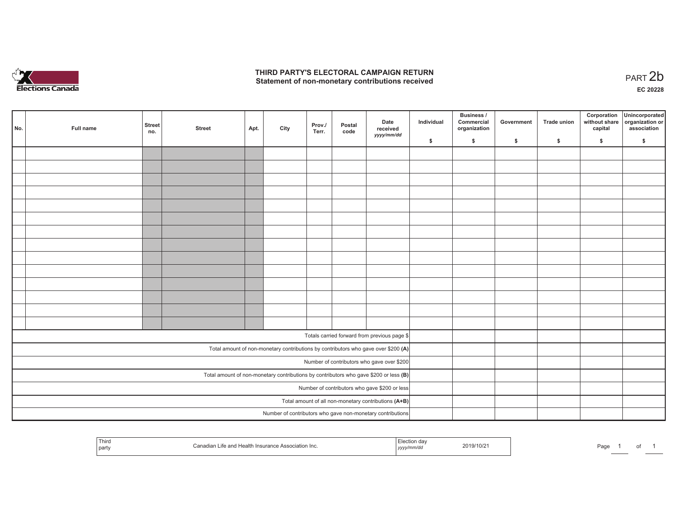

## **THIRD PARTY'S ELECTORAL CAMPAIGN RETURN**  THIRD PARTY'S ELECTORAL CAMPAIGN RETURN<br>Statement of non-monetary contributions received<br> **PART 2**b

| No.                                           | Full name                                                                             | <b>Street</b><br>no. | <b>Street</b> | Apt. | City | Prov./<br>Terr. | Postal<br>code | Date<br>received<br>yyyy/mm/dd                             | Individual | <b>Business /</b><br>Commercial<br>organization | Government | Trade union | Corporation<br>capital | Unincorporated<br>without share organization or<br>association |
|-----------------------------------------------|---------------------------------------------------------------------------------------|----------------------|---------------|------|------|-----------------|----------------|------------------------------------------------------------|------------|-------------------------------------------------|------------|-------------|------------------------|----------------------------------------------------------------|
|                                               |                                                                                       |                      |               |      |      |                 |                |                                                            | \$         | \$                                              | \$         | \$          | \$                     | \$                                                             |
|                                               |                                                                                       |                      |               |      |      |                 |                |                                                            |            |                                                 |            |             |                        |                                                                |
|                                               |                                                                                       |                      |               |      |      |                 |                |                                                            |            |                                                 |            |             |                        |                                                                |
|                                               |                                                                                       |                      |               |      |      |                 |                |                                                            |            |                                                 |            |             |                        |                                                                |
|                                               |                                                                                       |                      |               |      |      |                 |                |                                                            |            |                                                 |            |             |                        |                                                                |
|                                               |                                                                                       |                      |               |      |      |                 |                |                                                            |            |                                                 |            |             |                        |                                                                |
|                                               |                                                                                       |                      |               |      |      |                 |                |                                                            |            |                                                 |            |             |                        |                                                                |
|                                               |                                                                                       |                      |               |      |      |                 |                |                                                            |            |                                                 |            |             |                        |                                                                |
|                                               |                                                                                       |                      |               |      |      |                 |                |                                                            |            |                                                 |            |             |                        |                                                                |
|                                               |                                                                                       |                      |               |      |      |                 |                |                                                            |            |                                                 |            |             |                        |                                                                |
|                                               |                                                                                       |                      |               |      |      |                 |                |                                                            |            |                                                 |            |             |                        |                                                                |
|                                               |                                                                                       |                      |               |      |      |                 |                |                                                            |            |                                                 |            |             |                        |                                                                |
|                                               |                                                                                       |                      |               |      |      |                 |                |                                                            |            |                                                 |            |             |                        |                                                                |
|                                               |                                                                                       |                      |               |      |      |                 |                |                                                            |            |                                                 |            |             |                        |                                                                |
|                                               |                                                                                       |                      |               |      |      |                 |                |                                                            |            |                                                 |            |             |                        |                                                                |
|                                               |                                                                                       |                      |               |      |      |                 |                |                                                            |            |                                                 |            |             |                        |                                                                |
|                                               | Totals carried forward from previous page \$                                          |                      |               |      |      |                 |                |                                                            |            |                                                 |            |             |                        |                                                                |
|                                               | Total amount of non-monetary contributions by contributors who gave over \$200 (A)    |                      |               |      |      |                 |                |                                                            |            |                                                 |            |             |                        |                                                                |
|                                               | Number of contributors who gave over \$200                                            |                      |               |      |      |                 |                |                                                            |            |                                                 |            |             |                        |                                                                |
|                                               | Total amount of non-monetary contributions by contributors who gave \$200 or less (B) |                      |               |      |      |                 |                |                                                            |            |                                                 |            |             |                        |                                                                |
| Number of contributors who gave \$200 or less |                                                                                       |                      |               |      |      |                 |                |                                                            |            |                                                 |            |             |                        |                                                                |
|                                               | Total amount of all non-monetary contributions (A+B)                                  |                      |               |      |      |                 |                |                                                            |            |                                                 |            |             |                        |                                                                |
|                                               |                                                                                       |                      |               |      |      |                 |                | Number of contributors who gave non-monetary contributions |            |                                                 |            |             |                        |                                                                |

| Third<br>.<br>ີ≏ Association Inc.<br>$In$ surance<br>party | . | . 1072<br>11 U. | Page |  |  |  |
|------------------------------------------------------------|---|-----------------|------|--|--|--|
|------------------------------------------------------------|---|-----------------|------|--|--|--|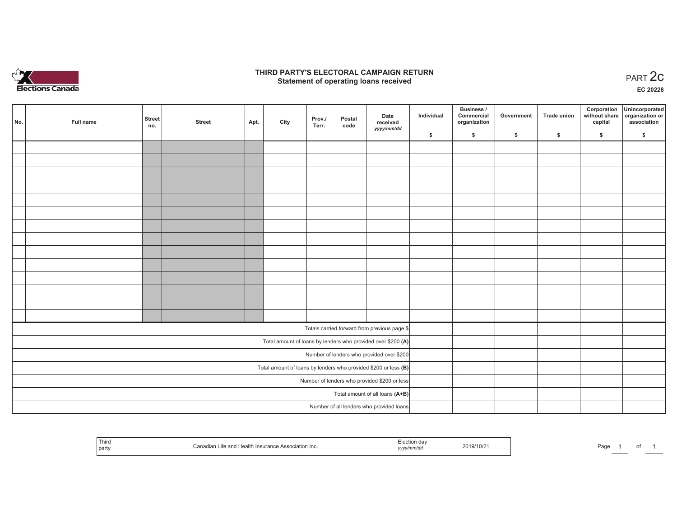

### **THIRD PARTY'S ELECTORAL CAMPAIGN RETURN STATE:** PARTY'S ELECTORAL CAMPAIGN RETURN<br>
Statement of operating loans received

**EC 20228**

| No. | Full name                                                    | <b>Street</b><br>no.                                            | <b>Street</b> | Apt. | City | Prov./<br>Terr. | Postal<br>code | Date<br>received<br>yyyy/mm/dd               | Individual | <b>Business /</b><br>Commercial<br>organization | Government | <b>Trade union</b> | Corporation<br>capital | Unincorporated<br>without share organization or<br>association |
|-----|--------------------------------------------------------------|-----------------------------------------------------------------|---------------|------|------|-----------------|----------------|----------------------------------------------|------------|-------------------------------------------------|------------|--------------------|------------------------|----------------------------------------------------------------|
|     |                                                              |                                                                 |               |      |      |                 |                |                                              | \$         | \$                                              | \$         | \$                 | \$                     | \$                                                             |
|     |                                                              |                                                                 |               |      |      |                 |                |                                              |            |                                                 |            |                    |                        |                                                                |
|     |                                                              |                                                                 |               |      |      |                 |                |                                              |            |                                                 |            |                    |                        |                                                                |
|     |                                                              |                                                                 |               |      |      |                 |                |                                              |            |                                                 |            |                    |                        |                                                                |
|     |                                                              |                                                                 |               |      |      |                 |                |                                              |            |                                                 |            |                    |                        |                                                                |
|     |                                                              |                                                                 |               |      |      |                 |                |                                              |            |                                                 |            |                    |                        |                                                                |
|     |                                                              |                                                                 |               |      |      |                 |                |                                              |            |                                                 |            |                    |                        |                                                                |
|     |                                                              |                                                                 |               |      |      |                 |                |                                              |            |                                                 |            |                    |                        |                                                                |
|     |                                                              |                                                                 |               |      |      |                 |                |                                              |            |                                                 |            |                    |                        |                                                                |
|     |                                                              |                                                                 |               |      |      |                 |                |                                              |            |                                                 |            |                    |                        |                                                                |
|     |                                                              |                                                                 |               |      |      |                 |                |                                              |            |                                                 |            |                    |                        |                                                                |
|     |                                                              |                                                                 |               |      |      |                 |                |                                              |            |                                                 |            |                    |                        |                                                                |
|     |                                                              |                                                                 |               |      |      |                 |                |                                              |            |                                                 |            |                    |                        |                                                                |
|     |                                                              |                                                                 |               |      |      |                 |                |                                              |            |                                                 |            |                    |                        |                                                                |
|     |                                                              |                                                                 |               |      |      |                 |                |                                              |            |                                                 |            |                    |                        |                                                                |
|     |                                                              |                                                                 |               |      |      |                 |                | Totals carried forward from previous page \$ |            |                                                 |            |                    |                        |                                                                |
|     | Total amount of loans by lenders who provided over \$200 (A) |                                                                 |               |      |      |                 |                |                                              |            |                                                 |            |                    |                        |                                                                |
|     | Number of lenders who provided over \$200                    |                                                                 |               |      |      |                 |                |                                              |            |                                                 |            |                    |                        |                                                                |
|     |                                                              | Total amount of loans by lenders who provided \$200 or less (B) |               |      |      |                 |                |                                              |            |                                                 |            |                    |                        |                                                                |
|     | Number of lenders who provided \$200 or less                 |                                                                 |               |      |      |                 |                |                                              |            |                                                 |            |                    |                        |                                                                |
|     | Total amount of all loans (A+B)                              |                                                                 |               |      |      |                 |                |                                              |            |                                                 |            |                    |                        |                                                                |
|     |                                                              |                                                                 |               |      |      |                 |                | Number of all lenders who provided loans     |            |                                                 |            |                    |                        |                                                                |

|  | Third<br>e Association Inc.<br>Insurance<br>and Health: .<br>part | on dav<br>2019/10/2<br>ープププン | ∍∼د⊐<br>ayt |
|--|-------------------------------------------------------------------|------------------------------|-------------|
|--|-------------------------------------------------------------------|------------------------------|-------------|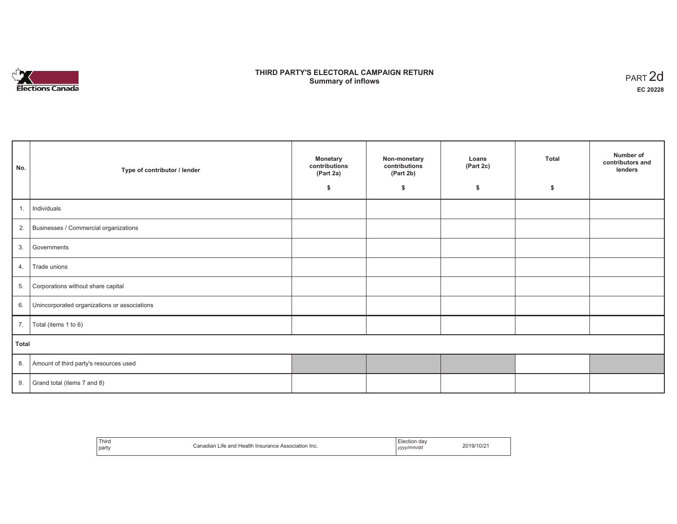

# **THIRD PARTY'S ELECTORAL CAMPAIGN RETURN S** ELECTORAL CAMPAIGN RETURN<br>Summary of inflows PART 2d

| No.   | Type of contributor / lender                    | <b>Monetary</b><br>contributions<br>(Part 2a)<br>\$ | Non-monetary<br>contributions<br>(Part 2b)<br>\$ | Loans<br>(Part 2c)<br>\$ | <b>Total</b><br>\$ | Number of<br>contributors and<br>lenders |
|-------|-------------------------------------------------|-----------------------------------------------------|--------------------------------------------------|--------------------------|--------------------|------------------------------------------|
|       |                                                 |                                                     |                                                  |                          |                    |                                          |
| 1.    | Individuals                                     |                                                     |                                                  |                          |                    |                                          |
|       | 2. Businesses / Commercial organizations        |                                                     |                                                  |                          |                    |                                          |
| 3.    | Governments                                     |                                                     |                                                  |                          |                    |                                          |
| 4.    | Trade unions                                    |                                                     |                                                  |                          |                    |                                          |
| 5.    | Corporations without share capital              |                                                     |                                                  |                          |                    |                                          |
|       | 6. Unincorporated organizations or associations |                                                     |                                                  |                          |                    |                                          |
| 7.    | Total (items 1 to 6)                            |                                                     |                                                  |                          |                    |                                          |
| Total |                                                 |                                                     |                                                  |                          |                    |                                          |
|       | 8. Amount of third party's resources used       |                                                     |                                                  |                          |                    |                                          |
|       | 9. Grand total (items $7$ and $8$ )             |                                                     |                                                  |                          |                    |                                          |

| Third                                               | Election dav |
|-----------------------------------------------------|--------------|
| Canadian Life and Health Insurance Association Inc. | 2019/10/2    |
|                                                     |              |
| party                                               | yyyy/mm/da   |
|                                                     |              |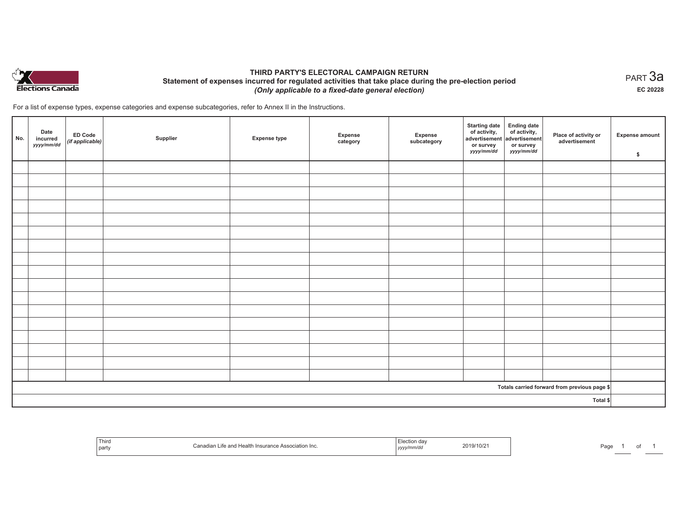

# **THIRD PARTY'S ELECTORAL CAMPAIGN RETURN Statement of expenses incurred for regulated activities that take place during the pre-election period**  *(Only applicable to a fixed-date general election)*

For a list of expense types, expense categories and expense subcategories, refer to Annex II in the Instructions.

| No.                                          | Date<br>incurred<br>yyyy/mm/dd | ED Code<br>(if applicable) | Supplier | <b>Expense type</b> | Expense<br>category | Expense<br>subcategory | <b>Starting date</b><br>of activity,<br>advertisement<br>or survey<br>yyyy/mm/dd | Ending date<br>of activity,<br>advertisement<br>or survey<br>yyyy/mm/dd | Place of activity or<br>advertisement | <b>Expense amount</b><br>\$ |
|----------------------------------------------|--------------------------------|----------------------------|----------|---------------------|---------------------|------------------------|----------------------------------------------------------------------------------|-------------------------------------------------------------------------|---------------------------------------|-----------------------------|
|                                              |                                |                            |          |                     |                     |                        |                                                                                  |                                                                         |                                       |                             |
|                                              |                                |                            |          |                     |                     |                        |                                                                                  |                                                                         |                                       |                             |
|                                              |                                |                            |          |                     |                     |                        |                                                                                  |                                                                         |                                       |                             |
|                                              |                                |                            |          |                     |                     |                        |                                                                                  |                                                                         |                                       |                             |
|                                              |                                |                            |          |                     |                     |                        |                                                                                  |                                                                         |                                       |                             |
|                                              |                                |                            |          |                     |                     |                        |                                                                                  |                                                                         |                                       |                             |
|                                              |                                |                            |          |                     |                     |                        |                                                                                  |                                                                         |                                       |                             |
|                                              |                                |                            |          |                     |                     |                        |                                                                                  |                                                                         |                                       |                             |
|                                              |                                |                            |          |                     |                     |                        |                                                                                  |                                                                         |                                       |                             |
|                                              |                                |                            |          |                     |                     |                        |                                                                                  |                                                                         |                                       |                             |
|                                              |                                |                            |          |                     |                     |                        |                                                                                  |                                                                         |                                       |                             |
|                                              |                                |                            |          |                     |                     |                        |                                                                                  |                                                                         |                                       |                             |
|                                              |                                |                            |          |                     |                     |                        |                                                                                  |                                                                         |                                       |                             |
|                                              |                                |                            |          |                     |                     |                        |                                                                                  |                                                                         |                                       |                             |
|                                              |                                |                            |          |                     |                     |                        |                                                                                  |                                                                         |                                       |                             |
|                                              |                                |                            |          |                     |                     |                        |                                                                                  |                                                                         |                                       |                             |
|                                              |                                |                            |          |                     |                     |                        |                                                                                  |                                                                         |                                       |                             |
| Totals carried forward from previous page \$ |                                |                            |          |                     |                     |                        |                                                                                  |                                                                         |                                       |                             |
| Total \$                                     |                                |                            |          |                     |                     |                        |                                                                                  |                                                                         |                                       |                             |

| Third<br>Canadian Life and Health Insurance Association Inc.<br>  party | Election day<br>2019/10/21<br>yyyy/mm/dd | Page |
|-------------------------------------------------------------------------|------------------------------------------|------|
|-------------------------------------------------------------------------|------------------------------------------|------|

 $_{\sf PART}$ 3a **EC 20228**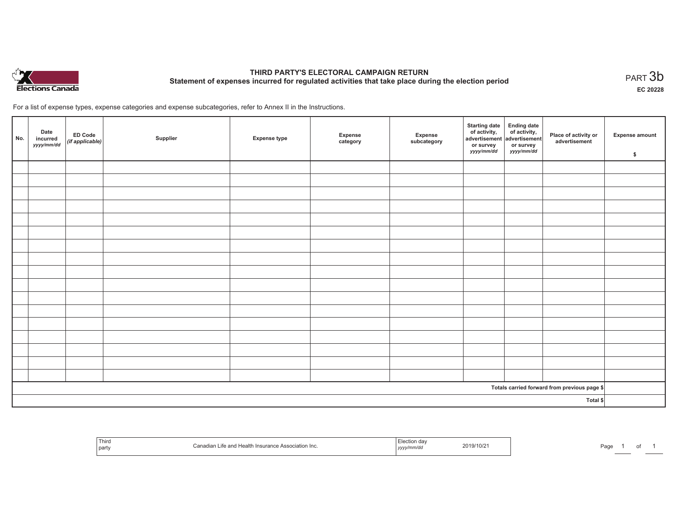

# **THIRD PARTY'S ELECTORAL CAMPAIGN RETURN Statement of expenses incurred for regulated activities that take place during the election period**<br>PART  $3\mathsf{b}$

**EC 20228**

For a list of expense types, expense categories and expense subcategories, refer to Annex II in the Instructions.

| No.      | Date<br>incurred<br>yyyy/mm/dd | ED Code<br>(if applicable) | Supplier | <b>Expense type</b> | Expense<br>category | Expense<br>subcategory | Starting date Ending date<br>of activity, of activity,<br>advertisement advertisement<br>or survey<br>yyyy/mm/dd | or survey<br><i>yyyy/mm/dd</i> | Place of activity or<br>advertisement        | <b>Expense amount</b><br>\$ |
|----------|--------------------------------|----------------------------|----------|---------------------|---------------------|------------------------|------------------------------------------------------------------------------------------------------------------|--------------------------------|----------------------------------------------|-----------------------------|
|          |                                |                            |          |                     |                     |                        |                                                                                                                  |                                |                                              |                             |
|          |                                |                            |          |                     |                     |                        |                                                                                                                  |                                |                                              |                             |
|          |                                |                            |          |                     |                     |                        |                                                                                                                  |                                |                                              |                             |
|          |                                |                            |          |                     |                     |                        |                                                                                                                  |                                |                                              |                             |
|          |                                |                            |          |                     |                     |                        |                                                                                                                  |                                |                                              |                             |
|          |                                |                            |          |                     |                     |                        |                                                                                                                  |                                |                                              |                             |
|          |                                |                            |          |                     |                     |                        |                                                                                                                  |                                |                                              |                             |
|          |                                |                            |          |                     |                     |                        |                                                                                                                  |                                |                                              |                             |
|          |                                |                            |          |                     |                     |                        |                                                                                                                  |                                |                                              |                             |
|          |                                |                            |          |                     |                     |                        |                                                                                                                  |                                |                                              |                             |
|          |                                |                            |          |                     |                     |                        |                                                                                                                  |                                |                                              |                             |
|          |                                |                            |          |                     |                     |                        |                                                                                                                  |                                |                                              |                             |
|          |                                |                            |          |                     |                     |                        |                                                                                                                  |                                |                                              |                             |
|          |                                |                            |          |                     |                     |                        |                                                                                                                  |                                |                                              |                             |
|          |                                |                            |          |                     |                     |                        |                                                                                                                  |                                |                                              |                             |
|          |                                |                            |          |                     |                     |                        |                                                                                                                  |                                |                                              |                             |
|          |                                |                            |          |                     |                     |                        |                                                                                                                  |                                |                                              |                             |
|          |                                |                            |          |                     |                     |                        |                                                                                                                  |                                | Totals carried forward from previous page \$ |                             |
| Total \$ |                                |                            |          |                     |                     |                        |                                                                                                                  |                                |                                              |                             |

| Third<br>nart<br>part | 'Healì.<br>suranc<br>ciation Inc.<br>. | , yyyyıı, | 2019/10/2<br>the contract of the contract of the contract of the contract of the contract of | ∩ה⊏<br>'au |  |  |
|-----------------------|----------------------------------------|-----------|----------------------------------------------------------------------------------------------|------------|--|--|
|-----------------------|----------------------------------------|-----------|----------------------------------------------------------------------------------------------|------------|--|--|